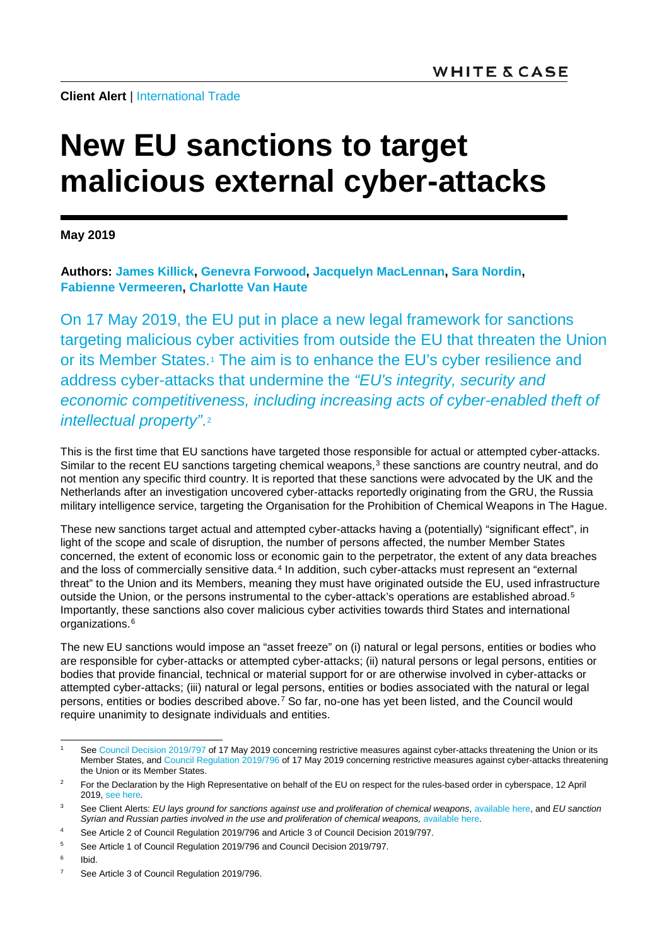**Client Alert | [International Trade](https://www.whitecase.com/law/practices/international-trade)** 

## **New EU sanctions to target malicious external cyber-attacks**

**May 2019**

**Authors: [James Killick,](https://www.whitecase.com/people/james-killick) [Genevra Forwood,](https://www.whitecase.com/people/genevra-forwood) [Jacquelyn MacLennan,](https://www.whitecase.com/people/jacquelyn-maclennan) [Sara Nordin,](https://www.whitecase.com/people/sara-nordin) [Fabienne Vermeeren,](https://www.whitecase.com/people/fabienne-vermeeren) [Charlotte Van Haute](https://www.whitecase.com/people/charlotte-van-haute)**

On 17 May 2019, the EU put in place a new legal framework for sanctions targeting malicious cyber activities from outside the EU that threaten the Union or its Member States.<sup>1</sup> The aim is to enhance the EU's cyber resilience and address cyber-attacks that undermine the *"EU's integrity, security and economic competitiveness, including increasing acts of cyber-enabled theft of intellectual property"*.[2](#page-0-1)

This is the first time that EU sanctions have targeted those responsible for actual or attempted cyber-attacks. Similar to the recent EU sanctions targeting chemical weapons,<sup>[3](#page-0-2)</sup> these sanctions are country neutral, and do not mention any specific third country. It is reported that these sanctions were advocated by the UK and the Netherlands after an investigation uncovered cyber-attacks reportedly originating from the GRU, the Russia military intelligence service, targeting the Organisation for the Prohibition of Chemical Weapons in The Hague.

These new sanctions target actual and attempted cyber-attacks having a (potentially) "significant effect", in light of the scope and scale of disruption, the number of persons affected, the number Member States concerned, the extent of economic loss or economic gain to the perpetrator, the extent of any data breaches and the loss of commercially sensitive data.<sup>[4](#page-0-3)</sup> In addition, such cyber-attacks must represent an "external" threat" to the Union and its Members, meaning they must have originated outside the EU, used infrastructure outside the Union, or the persons instrumental to the cyber-attack's operations are established abroad.<sup>[5](#page-0-4)</sup> Importantly, these sanctions also cover malicious cyber activities towards third States and international organizations.<sup>[6](#page-0-5)</sup>

The new EU sanctions would impose an "asset freeze" on (i) natural or legal persons, entities or bodies who are responsible for cyber-attacks or attempted cyber-attacks; (ii) natural persons or legal persons, entities or bodies that provide financial, technical or material support for or are otherwise involved in cyber-attacks or attempted cyber-attacks; (iii) natural or legal persons, entities or bodies associated with the natural or legal persons, entities or bodies described above.[7](#page-0-6) So far, no-one has yet been listed, and the Council would require unanimity to designate individuals and entities.

<span id="page-0-0"></span>Se[e Council Decision 2019/797](https://eur-lex.europa.eu/legal-content/EN/TXT/PDF/?uri=CELEX:32019D0797&from=EN) of 17 May 2019 concerning restrictive measures against cyber-attacks threatening the Union or its Member States, and [Council Regulation 2019/796](https://eur-lex.europa.eu/legal-content/EN/TXT/PDF/?uri=CELEX:32019R0796&from=EN) of 17 May 2019 concerning restrictive measures against cyber-attacks threatening the Union or its Member States.

<span id="page-0-1"></span><sup>&</sup>lt;sup>2</sup> For the Declaration by the High Representative on behalf of the EU on respect for the rules-based order in cyberspace, 12 April 2019, [see here](https://www.consilium.europa.eu/en/press/press-releases/2019/04/12/declaration-by-the-high-representative-on-behalf-of-the-eu-on-respect-for-the-rules-based-order-in-cyberspace/)*.*

<span id="page-0-2"></span><sup>3</sup> See Client Alerts: *EU lays ground for sanctions against use and proliferation of chemical weapons*[, available here,](https://www.whitecase.com/publications/alert/eu-lays-ground-sanctions-against-use-and-proliferation-chemical-weapons?s=sanctions) and *EU sanction*  Syrian and Russian parties involved in the use and proliferation of chemical weapons, [available here.](https://www.whitecase.com/publications/alert/eu-sanctions-syrian-and-russian-parties-involved-use-and-proliferation-chemical?s=eu%20sanctions%20chemical%20weapons)

<span id="page-0-3"></span><sup>4</sup> See Article 2 of Council Regulation 2019/796 and Article 3 of Council Decision 2019/797.

<span id="page-0-4"></span><sup>&</sup>lt;sup>5</sup> See Article 1 of Council Regulation 2019/796 and Council Decision 2019/797.

<span id="page-0-5"></span> $6$  Ibid.

<span id="page-0-6"></span><sup>&</sup>lt;sup>7</sup> See Article 3 of Council Regulation 2019/796.